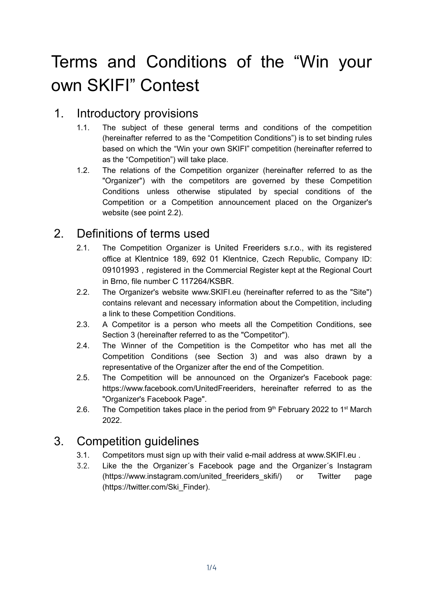# Terms and Conditions of the "Win your own SKIFI" Contest

### 1. Introductory provisions

- 1.1. The subject of these general terms and conditions of the competition (hereinafter referred to as the "Competition Conditions") is to set binding rules based on which the "Win your own SKIFI" competition (hereinafter referred to as the "Competition") will take place.
- 1.2. The relations of the Competition organizer (hereinafter referred to as the "Organizer") with the competitors are governed by these Competition Conditions unless otherwise stipulated by special conditions of the Competition or a Competition announcement placed on the Organizer's website (see point 2.2).

# 2. Definitions of terms used

- 2.1. The Competition Organizer is United Freeriders s.r.o., with its registered office at Klentnice 189, 692 01 Klentnice, Czech Republic, Company ID: 09101993 , registered in the Commercial Register kept at the Regional Court in Brno, file number C 117264/KSBR.
- 2.2. The Organizer's website www.SKIFI.eu (hereinafter referred to as the "Site") contains relevant and necessary information about the Competition, including a link to these Competition Conditions.
- 2.3. A Competitor is a person who meets all the Competition Conditions, see Section 3 (hereinafter referred to as the "Competitor").
- 2.4. The Winner of the Competition is the Competitor who has met all the Competition Conditions (see Section 3) and was also drawn by a representative of the Organizer after the end of the Competition.
- 2.5. The Competition will be announced on the Organizer's Facebook page: https://www.facebook.com/UnitedFreeriders, hereinafter referred to as the "Organizer's Facebook Page".
- 2.6. The Competition takes place in the period from  $9<sup>th</sup>$  February 2022 to 1<sup>st</sup> March 2022.

#### 3. Competition guidelines

- 3.1. Competitors must sign up with their valid e-mail address at www.SKIFI.eu .
- 3.2. Like the the Organizer´s Facebook page and the Organizer´s Instagram (https://www.instagram.com/united freeriders skifi/) or Twitter page (https://twitter.com/Ski\_Finder).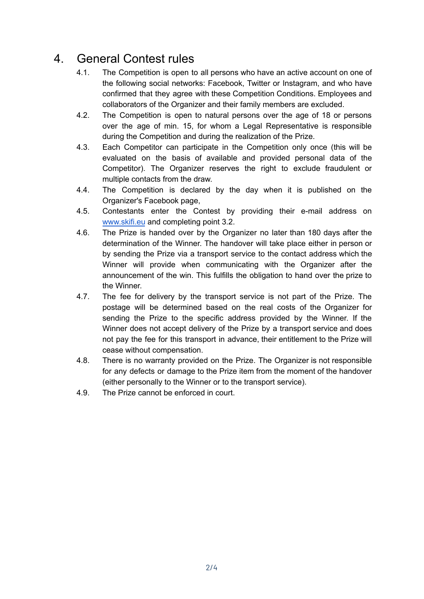### 4. General Contest rules

- 4.1. The Competition is open to all persons who have an active account on one of the following social networks: Facebook, Twitter or Instagram, and who have confirmed that they agree with these Competition Conditions. Employees and collaborators of the Organizer and their family members are excluded.
- 4.2. The Competition is open to natural persons over the age of 18 or persons over the age of min. 15, for whom a Legal Representative is responsible during the Competition and during the realization of the Prize.
- 4.3. Each Competitor can participate in the Competition only once (this will be evaluated on the basis of available and provided personal data of the Competitor). The Organizer reserves the right to exclude fraudulent or multiple contacts from the draw.
- 4.4. The Competition is declared by the day when it is published on the Organizer's Facebook page,
- 4.5. Contestants enter the Contest by providing their e-mail address on [www.skifi.eu](http://www.skifi.eu) and completing point 3.2.
- 4.6. The Prize is handed over by the Organizer no later than 180 days after the determination of the Winner. The handover will take place either in person or by sending the Prize via a transport service to the contact address which the Winner will provide when communicating with the Organizer after the announcement of the win. This fulfills the obligation to hand over the prize to the Winner.
- 4.7. The fee for delivery by the transport service is not part of the Prize. The postage will be determined based on the real costs of the Organizer for sending the Prize to the specific address provided by the Winner. If the Winner does not accept delivery of the Prize by a transport service and does not pay the fee for this transport in advance, their entitlement to the Prize will cease without compensation.
- 4.8. There is no warranty provided on the Prize. The Organizer is not responsible for any defects or damage to the Prize item from the moment of the handover (either personally to the Winner or to the transport service).
- 4.9. The Prize cannot be enforced in court.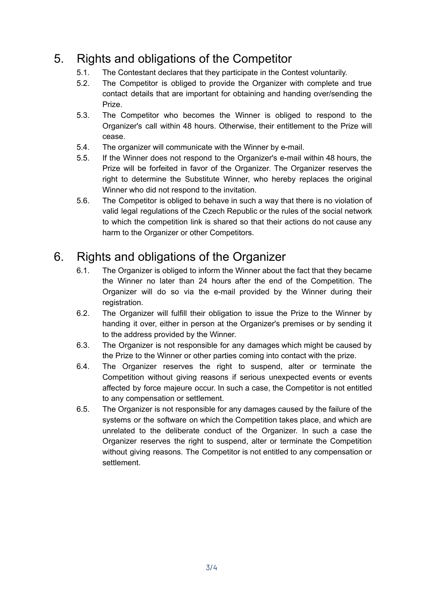# 5. Rights and obligations of the Competitor

- 5.1. The Contestant declares that they participate in the Contest voluntarily.
- 5.2. The Competitor is obliged to provide the Organizer with complete and true contact details that are important for obtaining and handing over/sending the Prize.
- 5.3. The Competitor who becomes the Winner is obliged to respond to the Organizer's call within 48 hours. Otherwise, their entitlement to the Prize will cease.
- 5.4. The organizer will communicate with the Winner by e-mail.
- 5.5. If the Winner does not respond to the Organizer's e-mail within 48 hours, the Prize will be forfeited in favor of the Organizer. The Organizer reserves the right to determine the Substitute Winner, who hereby replaces the original Winner who did not respond to the invitation.
- 5.6. The Competitor is obliged to behave in such a way that there is no violation of valid legal regulations of the Czech Republic or the rules of the social network to which the competition link is shared so that their actions do not cause any harm to the Organizer or other Competitors.

# 6. Rights and obligations of the Organizer

- 6.1. The Organizer is obliged to inform the Winner about the fact that they became the Winner no later than 24 hours after the end of the Competition. The Organizer will do so via the e-mail provided by the Winner during their registration.
- 6.2. The Organizer will fulfill their obligation to issue the Prize to the Winner by handing it over, either in person at the Organizer's premises or by sending it to the address provided by the Winner.
- 6.3. The Organizer is not responsible for any damages which might be caused by the Prize to the Winner or other parties coming into contact with the prize.
- 6.4. The Organizer reserves the right to suspend, alter or terminate the Competition without giving reasons if serious unexpected events or events affected by force majeure occur. In such a case, the Competitor is not entitled to any compensation or settlement.
- 6.5. The Organizer is not responsible for any damages caused by the failure of the systems or the software on which the Competition takes place, and which are unrelated to the deliberate conduct of the Organizer. In such a case the Organizer reserves the right to suspend, alter or terminate the Competition without giving reasons. The Competitor is not entitled to any compensation or settlement.